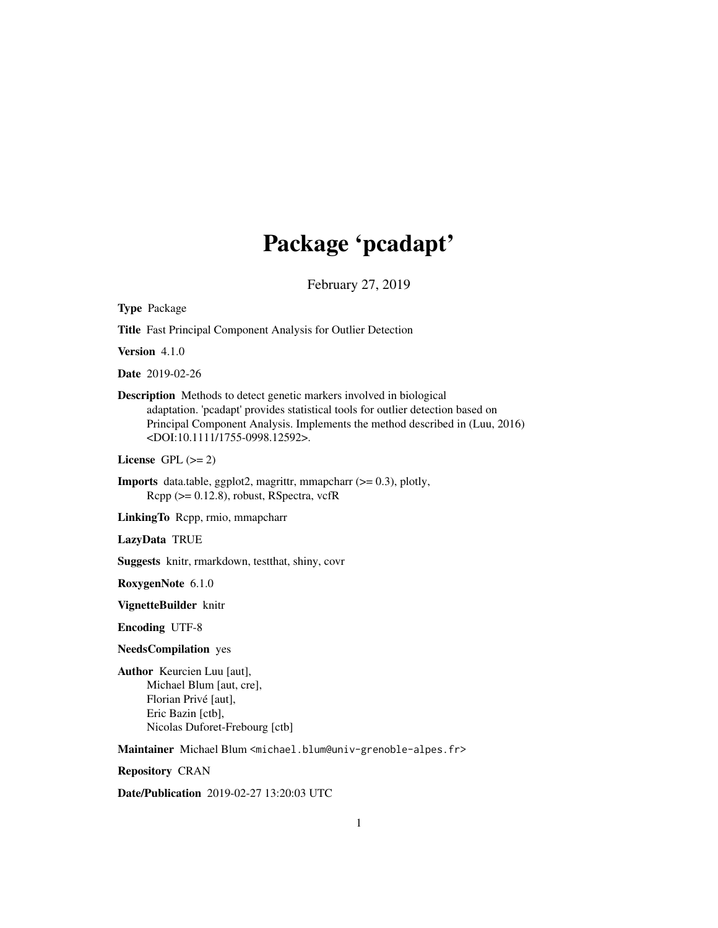# Package 'pcadapt'

February 27, 2019

Title Fast Principal Component Analysis for Outlier Detection Version 4.1.0 Date 2019-02-26 Description Methods to detect genetic markers involved in biological adaptation. 'pcadapt' provides statistical tools for outlier detection based on Principal Component Analysis. Implements the method described in (Luu, 2016) <DOI:10.1111/1755-0998.12592>. License GPL  $(>= 2)$ **Imports** data.table, ggplot2, magrittr, mmapcharr  $(>= 0.3)$ , plotly, Rcpp (>= 0.12.8), robust, RSpectra, vcfR LinkingTo Rcpp, rmio, mmapcharr LazyData TRUE Suggests knitr, rmarkdown, testthat, shiny, covr RoxygenNote 6.1.0 VignetteBuilder knitr Encoding UTF-8 NeedsCompilation yes Author Keurcien Luu [aut], Michael Blum [aut, cre], Florian Privé [aut], Eric Bazin [ctb], Nicolas Duforet-Frebourg [ctb]

Maintainer Michael Blum <michael.blum@univ-grenoble-alpes.fr>

Repository CRAN

Type Package

Date/Publication 2019-02-27 13:20:03 UTC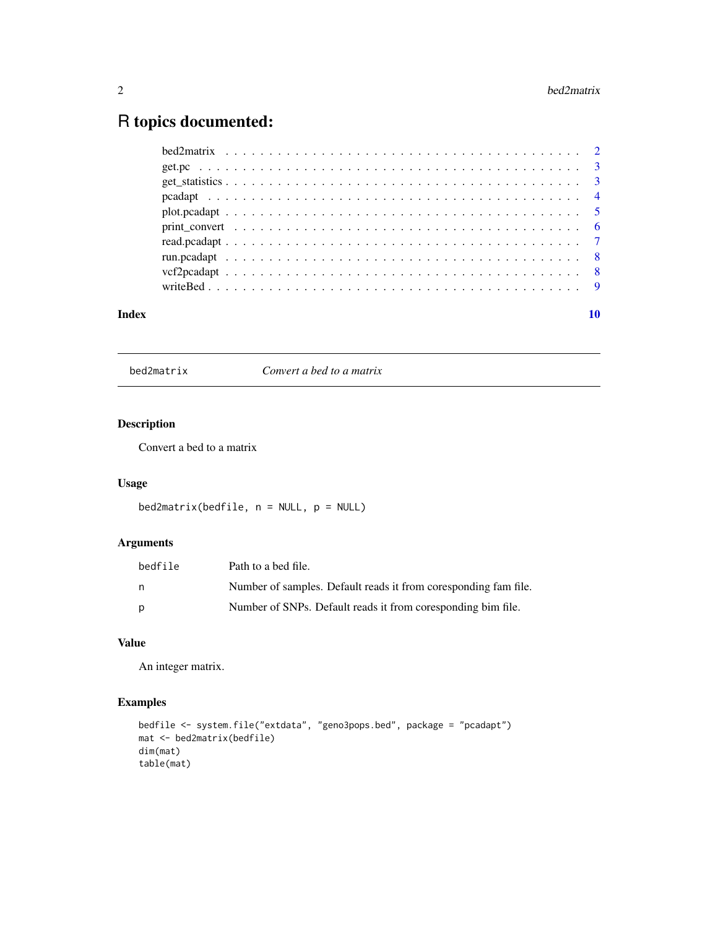# <span id="page-1-0"></span>R topics documented:

bed2matrix *Convert a bed to a matrix*

# Description

Convert a bed to a matrix

# Usage

```
bed2matrix(bedfile, n = NULL, p = NULL)
```
# Arguments

| bedfile | Path to a bed file.                                             |
|---------|-----------------------------------------------------------------|
| n.      | Number of samples. Default reads it from coresponding fam file. |
| p       | Number of SNPs. Default reads it from coresponding bim file.    |

# Value

An integer matrix.

# Examples

```
bedfile <- system.file("extdata", "geno3pops.bed", package = "pcadapt")
mat <- bed2matrix(bedfile)
dim(mat)
table(mat)
```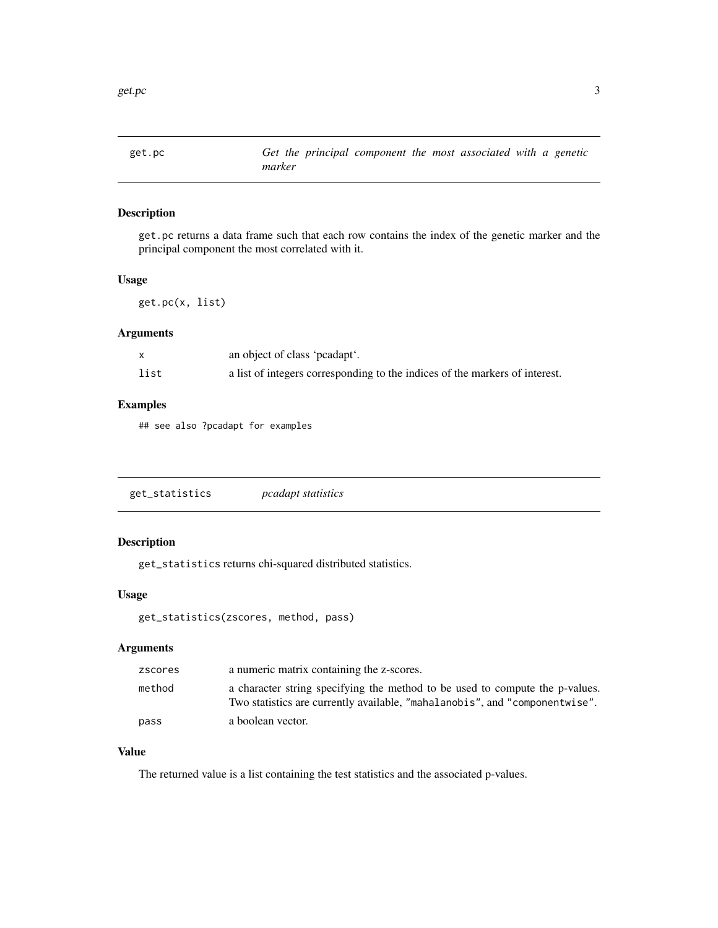<span id="page-2-0"></span>

# Description

get.pc returns a data frame such that each row contains the index of the genetic marker and the principal component the most correlated with it.

# Usage

get.pc(x, list)

# Arguments

|      | an object of class 'peadapt'.                                               |
|------|-----------------------------------------------------------------------------|
| list | a list of integers corresponding to the indices of the markers of interest. |

# Examples

## see also ?pcadapt for examples

| get_statistics | <i>pcadapt statistics</i> |
|----------------|---------------------------|
|----------------|---------------------------|

# Description

get\_statistics returns chi-squared distributed statistics.

# Usage

get\_statistics(zscores, method, pass)

# Arguments

| zscores | a numeric matrix containing the z-scores.                                                                                                                   |
|---------|-------------------------------------------------------------------------------------------------------------------------------------------------------------|
| method  | a character string specifying the method to be used to compute the p-values.<br>Two statistics are currently available, "mahalanobis", and "componentwise". |
| pass    | a boolean vector.                                                                                                                                           |

# Value

The returned value is a list containing the test statistics and the associated p-values.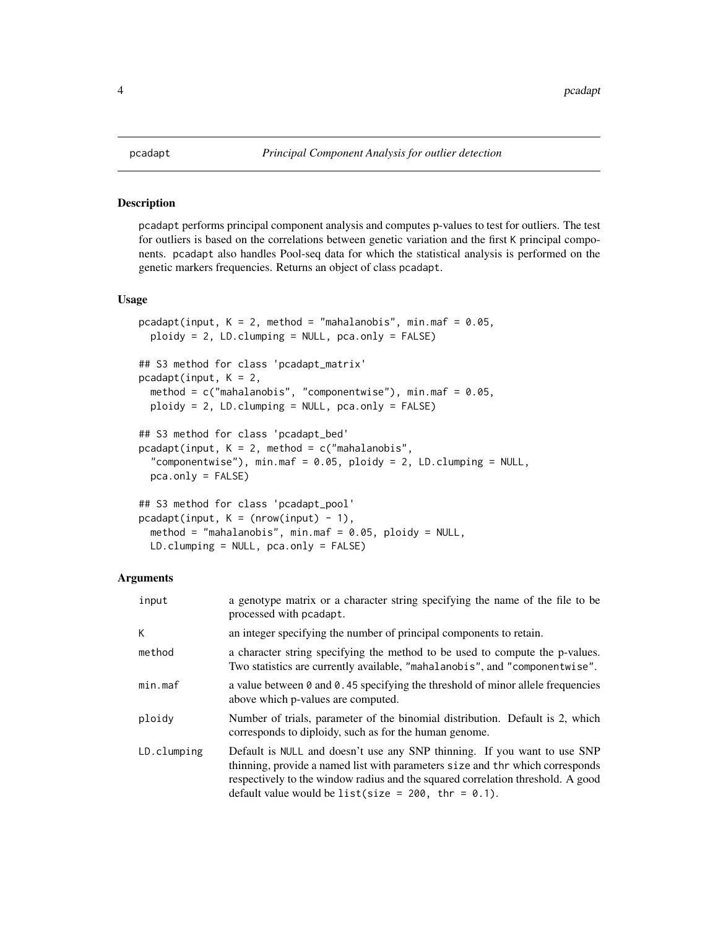# Description

pcadapt performs principal component analysis and computes p-values to test for outliers. The test for outliers is based on the correlations between genetic variation and the first K principal components. pcadapt also handles Pool-seq data for which the statistical analysis is performed on the genetic markers frequencies. Returns an object of class pcadapt.

### Usage

```
pcadapt(input, K = 2, method = "mahalanobis", min.maf = 0.05,
 ploidy = 2, LD-clumping = NULL, pca-only = FALSE)
## S3 method for class 'pcadapt_matrix'
pcadapt(input, K = 2,
 method = c("mahalanobis", "componentwise"), min.maf = 0.05,
 ploidy = 2, LD.clumping = NULL, pca.only = FALSE)
## S3 method for class 'pcadapt_bed'
pcadapt(input, K = 2, method = c("mahalanobis","componentwise"), min.maf = 0.05, ploidy = 2, LD.clumping = NULL,
 pca.only = FALSE)
## S3 method for class 'pcadapt_pool'
pcadapt(input, K = (nrow(input) - 1),
```
method = "mahalanobis", min.maf =  $0.05$ , ploidy = NULL,

LD.clumping = NULL, pca.only = FALSE)

### Arguments

| input       | a genotype matrix or a character string specifying the name of the file to be<br>processed with pcadapt.                                                                                                                                                                                               |
|-------------|--------------------------------------------------------------------------------------------------------------------------------------------------------------------------------------------------------------------------------------------------------------------------------------------------------|
| K           | an integer specifying the number of principal components to retain.                                                                                                                                                                                                                                    |
| method      | a character string specifying the method to be used to compute the p-values.<br>Two statistics are currently available, "mahalanobis", and "componentwise".                                                                                                                                            |
| min.max     | a value between $\theta$ and $\theta$ . 45 specifying the threshold of minor allele frequencies<br>above which p-values are computed.                                                                                                                                                                  |
| ploidy      | Number of trials, parameter of the binomial distribution. Default is 2, which<br>corresponds to diploidy, such as for the human genome.                                                                                                                                                                |
| LD.clumping | Default is NULL and doesn't use any SNP thinning. If you want to use SNP<br>thinning, provide a named list with parameters size and thr which corresponds<br>respectively to the window radius and the squared correlation threshold. A good<br>default value would be list(size = $200$ , thr = 0.1). |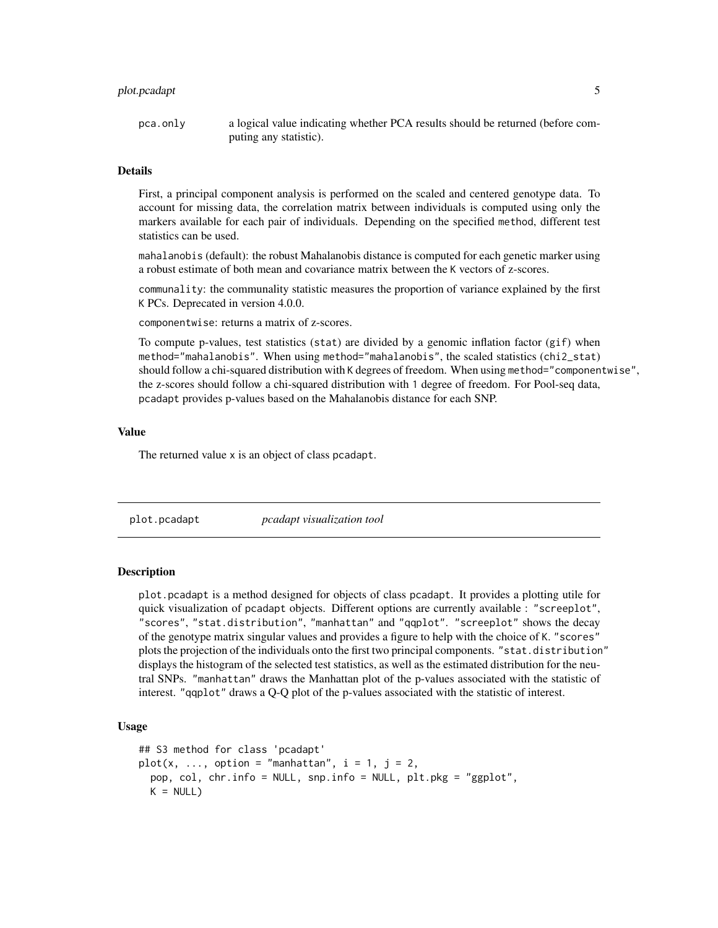# <span id="page-4-0"></span>plot.pcadapt 5

pca.only a logical value indicating whether PCA results should be returned (before computing any statistic).

#### Details

First, a principal component analysis is performed on the scaled and centered genotype data. To account for missing data, the correlation matrix between individuals is computed using only the markers available for each pair of individuals. Depending on the specified method, different test statistics can be used.

mahalanobis (default): the robust Mahalanobis distance is computed for each genetic marker using a robust estimate of both mean and covariance matrix between the K vectors of z-scores.

communality: the communality statistic measures the proportion of variance explained by the first K PCs. Deprecated in version 4.0.0.

componentwise: returns a matrix of z-scores.

To compute p-values, test statistics (stat) are divided by a genomic inflation factor (gif) when method="mahalanobis". When using method="mahalanobis", the scaled statistics (chi2\_stat) should follow a chi-squared distribution with K degrees of freedom. When using method="componentwise", the z-scores should follow a chi-squared distribution with 1 degree of freedom. For Pool-seq data, pcadapt provides p-values based on the Mahalanobis distance for each SNP.

# Value

The returned value x is an object of class pcadapt.

plot.pcadapt *pcadapt visualization tool*

# **Description**

plot.pcadapt is a method designed for objects of class pcadapt. It provides a plotting utile for quick visualization of pcadapt objects. Different options are currently available : "screeplot", "scores", "stat.distribution", "manhattan" and "qqplot". "screeplot" shows the decay of the genotype matrix singular values and provides a figure to help with the choice of K. "scores" plots the projection of the individuals onto the first two principal components. "stat.distribution" displays the histogram of the selected test statistics, as well as the estimated distribution for the neutral SNPs. "manhattan" draws the Manhattan plot of the p-values associated with the statistic of interest. "qqplot" draws a Q-Q plot of the p-values associated with the statistic of interest.

### Usage

```
## S3 method for class 'pcadapt'
plot(x, ..., option = "manhattan", i = 1, j = 2,
 pop, col, chr.info = NULL, snp.info = NULL, plt.pkg = "ggplot",
 K = NULL
```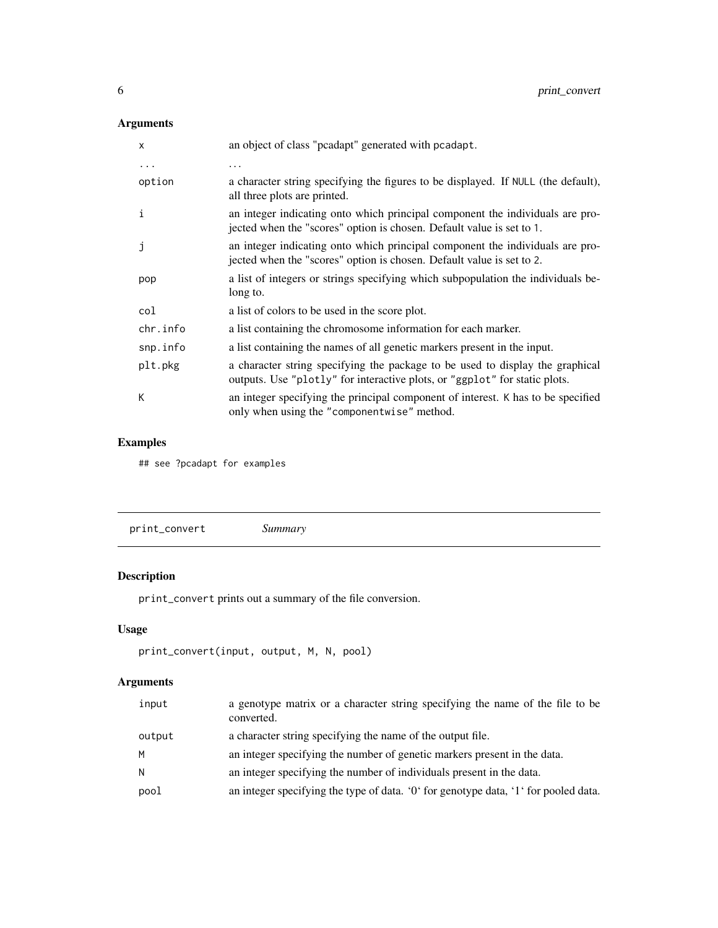# <span id="page-5-0"></span>Arguments

| $\mathsf{x}$ | an object of class "peadapt" generated with peadapt.                                                                                                        |
|--------------|-------------------------------------------------------------------------------------------------------------------------------------------------------------|
| $\cdots$     | .                                                                                                                                                           |
| option       | a character string specifying the figures to be displayed. If NULL (the default),<br>all three plots are printed.                                           |
| i            | an integer indicating onto which principal component the individuals are pro-<br>jected when the "scores" option is chosen. Default value is set to 1.      |
| j            | an integer indicating onto which principal component the individuals are pro-<br>jected when the "scores" option is chosen. Default value is set to 2.      |
| pop          | a list of integers or strings specifying which subpopulation the individuals be-<br>long to.                                                                |
| col          | a list of colors to be used in the score plot.                                                                                                              |
| chr.info     | a list containing the chromosome information for each marker.                                                                                               |
| snp.info     | a list containing the names of all genetic markers present in the input.                                                                                    |
| plt.pkg      | a character string specifying the package to be used to display the graphical<br>outputs. Use "plotly" for interactive plots, or "ggplot" for static plots. |
| К            | an integer specifying the principal component of interest. K has to be specified<br>only when using the "componentwise" method.                             |

# Examples

## see ?pcadapt for examples

# Description

print\_convert prints out a summary of the file conversion.

# Usage

```
print_convert(input, output, M, N, pool)
```
# Arguments

| input  | a genotype matrix or a character string specifying the name of the file to be<br>converted. |
|--------|---------------------------------------------------------------------------------------------|
| output | a character string specifying the name of the output file.                                  |
| M      | an integer specifying the number of genetic markers present in the data.                    |
| N      | an integer specifying the number of individuals present in the data.                        |
| pool   | an integer specifying the type of data. '0' for genotype data, '1' for pooled data.         |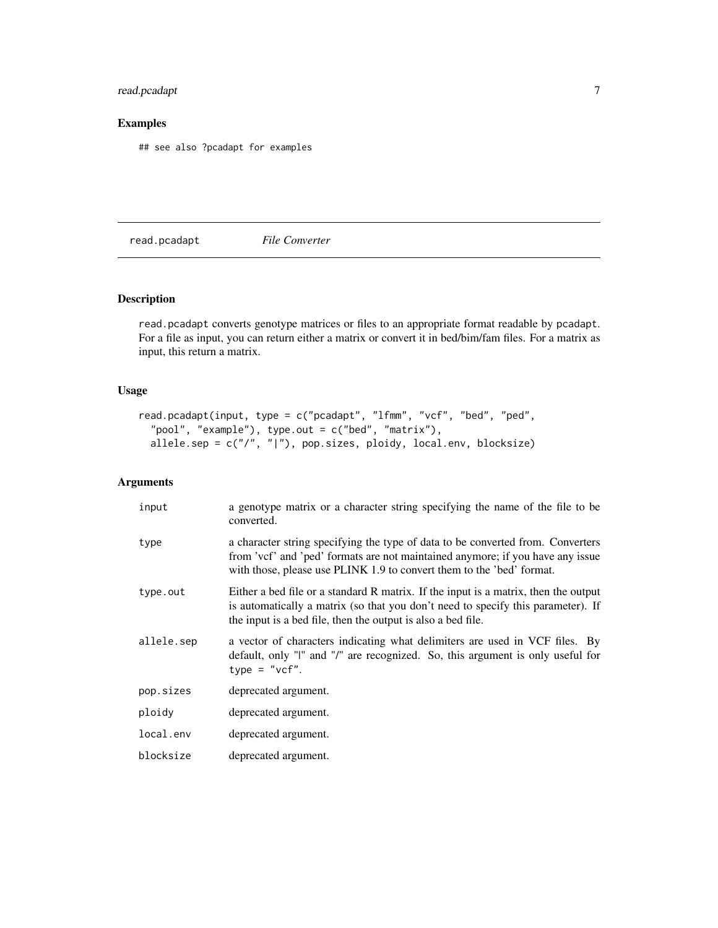# <span id="page-6-0"></span>read.pcadapt 7

# Examples

## see also ?pcadapt for examples

read.pcadapt *File Converter*

# Description

read.pcadapt converts genotype matrices or files to an appropriate format readable by pcadapt. For a file as input, you can return either a matrix or convert it in bed/bim/fam files. For a matrix as input, this return a matrix.

# Usage

```
read.pcadapt(input, type = c("pcadapt", "lfmm", "vcf", "bed", "ped",
  "pool", "example"), type.out = c("bed", "matrix"),
 allele.sep = c("/", "|"), pop.sizes, ploidy, local.env, blocksize)
```
# Arguments

| input      | a genotype matrix or a character string specifying the name of the file to be<br>converted.                                                                                                                                                |
|------------|--------------------------------------------------------------------------------------------------------------------------------------------------------------------------------------------------------------------------------------------|
| type       | a character string specifying the type of data to be converted from. Converters<br>from 'vcf' and 'ped' formats are not maintained anymore; if you have any issue<br>with those, please use PLINK 1.9 to convert them to the 'bed' format. |
| type.out   | Either a bed file or a standard R matrix. If the input is a matrix, then the output<br>is automatically a matrix (so that you don't need to specify this parameter). If<br>the input is a bed file, then the output is also a bed file.    |
| allele.sep | a vector of characters indicating what delimiters are used in VCF files. By<br>default, only "I" and "/" are recognized. So, this argument is only useful for<br>type = $"vcf".$                                                           |
| pop.sizes  | deprecated argument.                                                                                                                                                                                                                       |
| ploidy     | deprecated argument.                                                                                                                                                                                                                       |
| local.env  | deprecated argument.                                                                                                                                                                                                                       |
| blocksize  | deprecated argument.                                                                                                                                                                                                                       |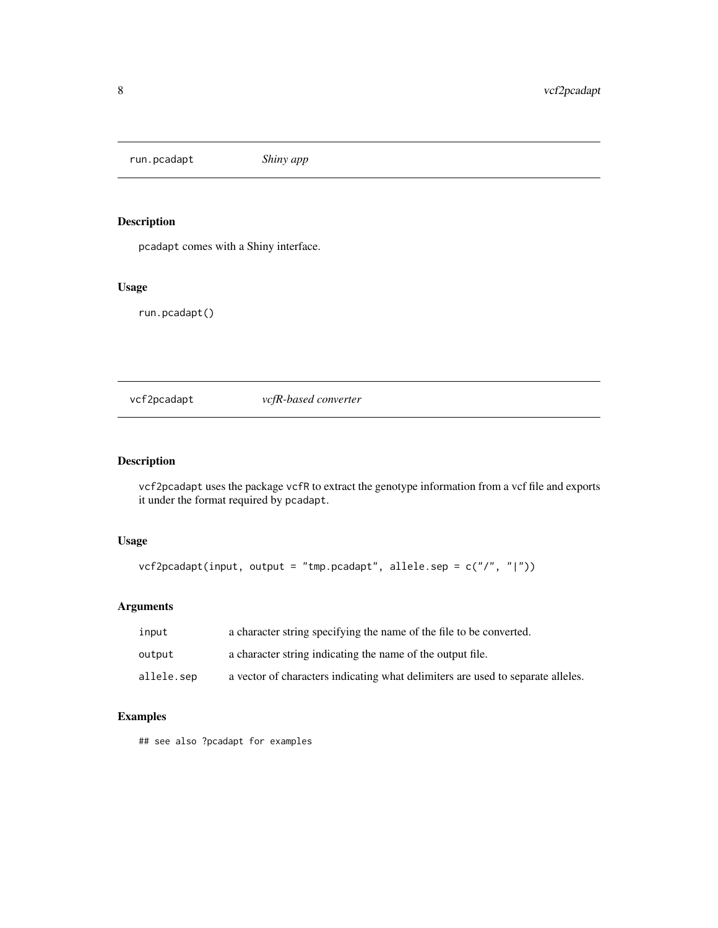<span id="page-7-0"></span>run.pcadapt *Shiny app*

# Description

pcadapt comes with a Shiny interface.

# Usage

run.pcadapt()

vcf2pcadapt *vcfR-based converter*

# Description

vcf2pcadapt uses the package vcfR to extract the genotype information from a vcf file and exports it under the format required by pcadapt.

# Usage

```
vcf2pcadapt(input, output = "tmp.pcadapt", allele.sep = c("/", "|"))
```
# Arguments

| input      | a character string specifying the name of the file to be converted.             |
|------------|---------------------------------------------------------------------------------|
| output     | a character string indicating the name of the output file.                      |
| allele.sep | a vector of characters indicating what delimiters are used to separate alleles. |

# Examples

## see also ?pcadapt for examples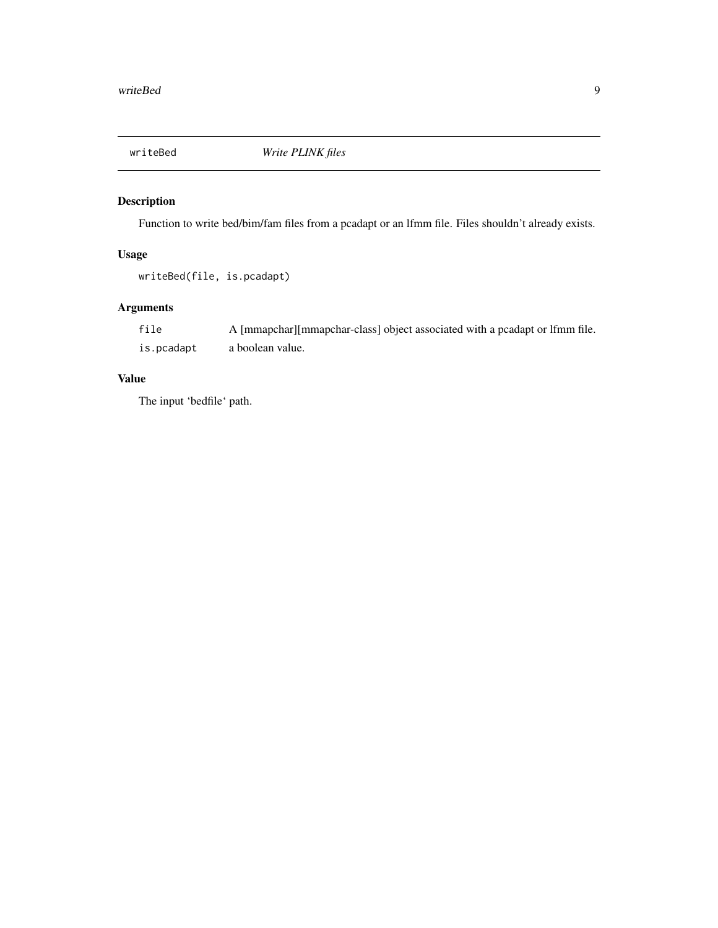<span id="page-8-0"></span>

# Description

Function to write bed/bim/fam files from a pcadapt or an lfmm file. Files shouldn't already exists.

# Usage

writeBed(file, is.pcadapt)

# Arguments

| file       | A [mmapchar] [mmapchar-class] object associated with a pcadapt or 1 fmm file. |
|------------|-------------------------------------------------------------------------------|
| is.pcadapt | a boolean value.                                                              |

# Value

The input 'bedfile' path.